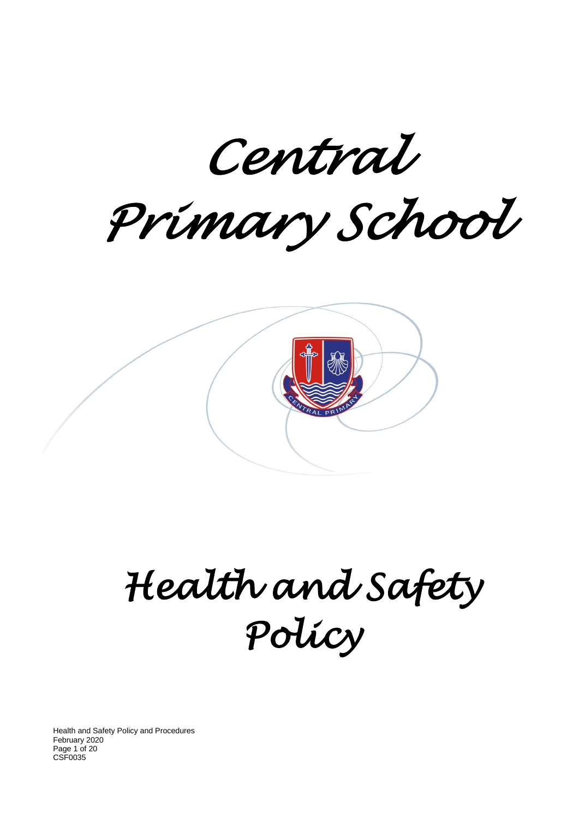*Central Primary School* 

*Health and Safety Policy* 

Health and Safety Policy and Procedures February 2020 Page 1 of 20 CSF0035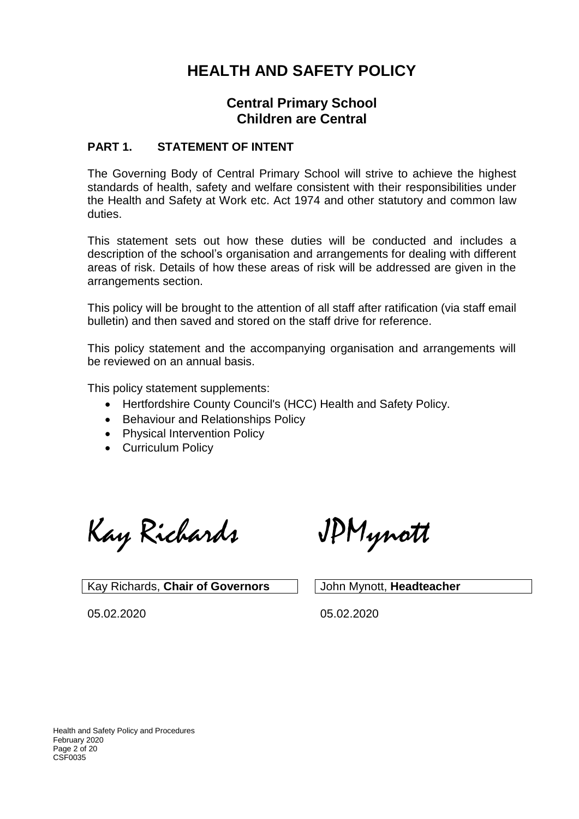# **HEALTH AND SAFETY POLICY**

# **Central Primary School Children are Central**

### **PART 1. STATEMENT OF INTENT**

The Governing Body of Central Primary School will strive to achieve the highest standards of health, safety and welfare consistent with their responsibilities under the Health and Safety at Work etc. Act 1974 and other statutory and common law duties.

This statement sets out how these duties will be conducted and includes a description of the school's organisation and arrangements for dealing with different areas of risk. Details of how these areas of risk will be addressed are given in the arrangements section.

This policy will be brought to the attention of all staff after ratification (via staff email bulletin) and then saved and stored on the staff drive for reference.

This policy statement and the accompanying organisation and arrangements will be reviewed on an annual basis.

This policy statement supplements:

- Hertfordshire County Council's (HCC) Health and Safety Policy.
- Behaviour and Relationships Policy
- Physical Intervention Policy
- Curriculum Policy

Kay Richards JPMynott

Kay Richards, **Chair of Governors** John Mynott, **Headteacher**

05.02.2020 05.02.2020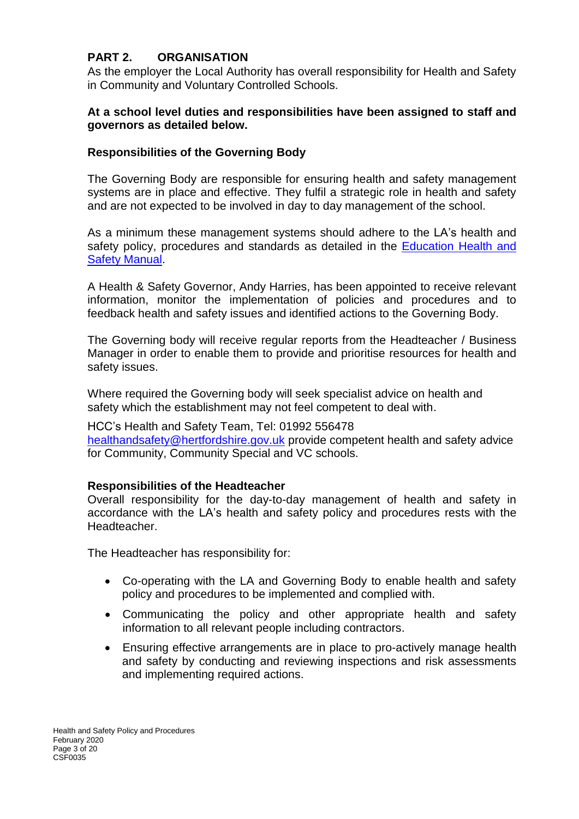# **PART 2. ORGANISATION**

As the employer the Local Authority has overall responsibility for Health and Safety in Community and Voluntary Controlled Schools.

### **At a school level duties and responsibilities have been assigned to staff and governors as detailed below.**

### **Responsibilities of the Governing Body**

The Governing Body are responsible for ensuring health and safety management systems are in place and effective. They fulfil a strategic role in health and safety and are not expected to be involved in day to day management of the school.

As a minimum these management systems should adhere to the LA's health and safety policy, procedures and standards as detailed in the Education Health and [Safety Manual.](http://www.thegrid.org.uk/info/healthandsafety/manual.shtml)

A Health & Safety Governor, Andy Harries, has been appointed to receive relevant information, monitor the implementation of policies and procedures and to feedback health and safety issues and identified actions to the Governing Body.

The Governing body will receive regular reports from the Headteacher / Business Manager in order to enable them to provide and prioritise resources for health and safety issues.

Where required the Governing body will seek specialist advice on health and safety which the establishment may not feel competent to deal with.

HCC's Health and Safety Team, Tel: 01992 556478 [healthandsafety@hertfordshire.gov.uk](mailto:healthandsafety@hertfordshire.gov.uk) provide competent health and safety advice for Community, Community Special and VC schools.

### **Responsibilities of the Headteacher**

Overall responsibility for the day-to-day management of health and safety in accordance with the LA's health and safety policy and procedures rests with the Headteacher.

The Headteacher has responsibility for:

- Co-operating with the LA and Governing Body to enable health and safety policy and procedures to be implemented and complied with.
- Communicating the policy and other appropriate health and safety information to all relevant people including contractors.
- Ensuring effective arrangements are in place to pro-actively manage health and safety by conducting and reviewing inspections and risk assessments and implementing required actions.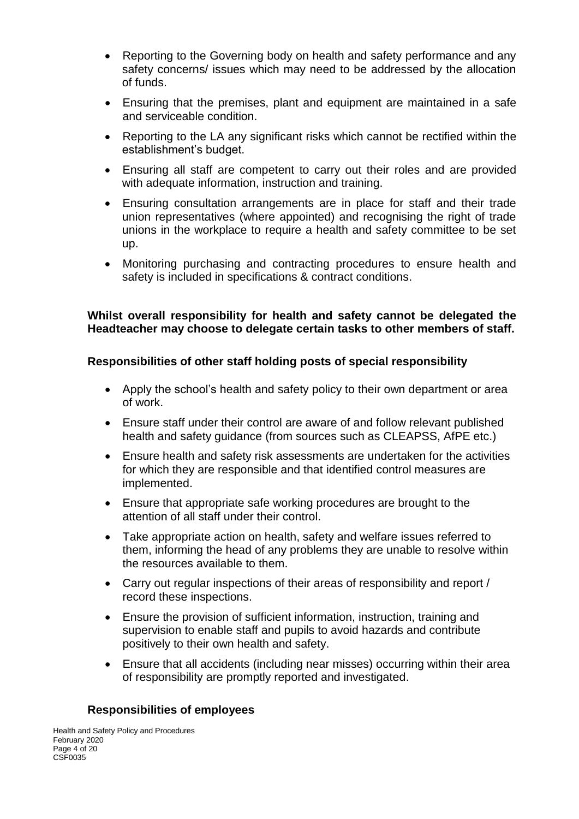- Reporting to the Governing body on health and safety performance and any safety concerns/ issues which may need to be addressed by the allocation of funds.
- Ensuring that the premises, plant and equipment are maintained in a safe and serviceable condition.
- Reporting to the LA any significant risks which cannot be rectified within the establishment's budget.
- Ensuring all staff are competent to carry out their roles and are provided with adequate information, instruction and training.
- Ensuring consultation arrangements are in place for staff and their trade union representatives (where appointed) and recognising the right of trade unions in the workplace to require a health and safety committee to be set up.
- Monitoring purchasing and contracting procedures to ensure health and safety is included in specifications & contract conditions.

# **Whilst overall responsibility for health and safety cannot be delegated the Headteacher may choose to delegate certain tasks to other members of staff.**

# **Responsibilities of other staff holding posts of special responsibility**

- Apply the school's health and safety policy to their own department or area of work.
- Ensure staff under their control are aware of and follow relevant published health and safety guidance (from sources such as CLEAPSS, AfPE etc.)
- Ensure health and safety risk assessments are undertaken for the activities for which they are responsible and that identified control measures are implemented.
- Ensure that appropriate safe working procedures are brought to the attention of all staff under their control.
- Take appropriate action on health, safety and welfare issues referred to them, informing the head of any problems they are unable to resolve within the resources available to them.
- Carry out regular inspections of their areas of responsibility and report / record these inspections.
- Ensure the provision of sufficient information, instruction, training and supervision to enable staff and pupils to avoid hazards and contribute positively to their own health and safety.
- Ensure that all accidents (including near misses) occurring within their area of responsibility are promptly reported and investigated.

# **Responsibilities of employees**

Health and Safety Policy and Procedures February 2020 Page 4 of 20 CSF0035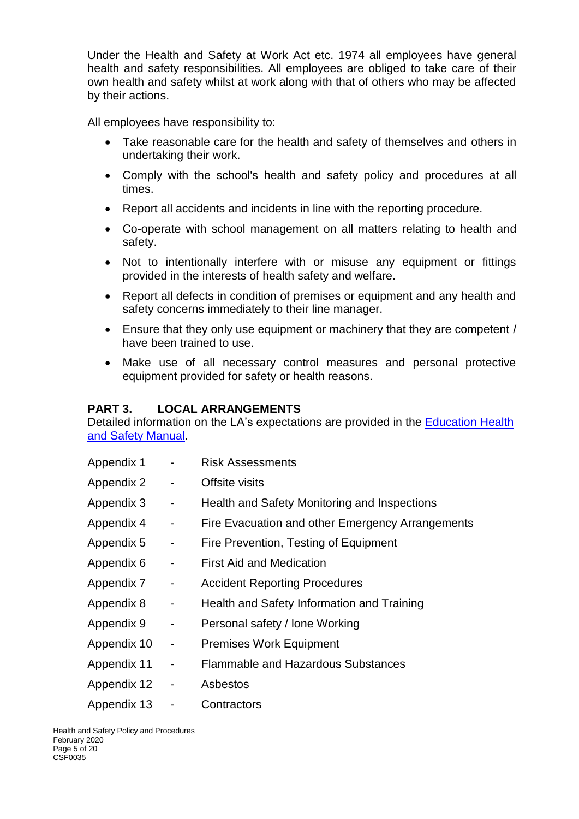Under the Health and Safety at Work Act etc. 1974 all employees have general health and safety responsibilities. All employees are obliged to take care of their own health and safety whilst at work along with that of others who may be affected by their actions.

All employees have responsibility to:

- Take reasonable care for the health and safety of themselves and others in undertaking their work.
- Comply with the school's health and safety policy and procedures at all times.
- Report all accidents and incidents in line with the reporting procedure.
- Co-operate with school management on all matters relating to health and safety.
- Not to intentionally interfere with or misuse any equipment or fittings provided in the interests of health safety and welfare.
- Report all defects in condition of premises or equipment and any health and safety concerns immediately to their line manager.
- Ensure that they only use equipment or machinery that they are competent / have been trained to use.
- Make use of all necessary control measures and personal protective equipment provided for safety or health reasons.

### **PART 3. LOCAL ARRANGEMENTS**

Detailed information on the LA's expectations are provided in the [Education Health](http://www.thegrid.org.uk/info/healthandsafety/manual.shtml)  [and Safety Manual.](http://www.thegrid.org.uk/info/healthandsafety/manual.shtml)

| Appendix 1  |                              | <b>Risk Assessments</b>                          |  |
|-------------|------------------------------|--------------------------------------------------|--|
| Appendix 2  |                              | Offsite visits                                   |  |
| Appendix 3  | -                            | Health and Safety Monitoring and Inspections     |  |
| Appendix 4  | $\blacksquare$               | Fire Evacuation and other Emergency Arrangements |  |
| Appendix 5  | $\blacksquare$               | Fire Prevention, Testing of Equipment            |  |
| Appendix 6  | $\qquad \qquad \blacksquare$ | <b>First Aid and Medication</b>                  |  |
| Appendix 7  | -                            | <b>Accident Reporting Procedures</b>             |  |
| Appendix 8  | -                            | Health and Safety Information and Training       |  |
| Appendix 9  | $\qquad \qquad \blacksquare$ | Personal safety / lone Working                   |  |
| Appendix 10 | $\qquad \qquad \blacksquare$ | <b>Premises Work Equipment</b>                   |  |
| Appendix 11 | $\qquad \qquad \blacksquare$ | <b>Flammable and Hazardous Substances</b>        |  |
| Appendix 12 | $\overline{\phantom{0}}$     | Asbestos                                         |  |
| Appendix 13 |                              | Contractors                                      |  |

Health and Safety Policy and Procedures February 2020 Page 5 of 20 CSF0035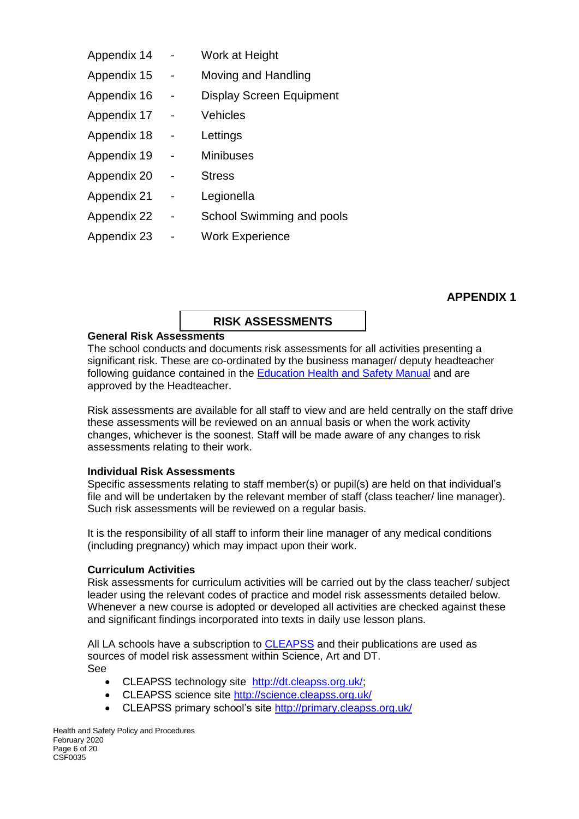| Appendix 14 |   | Work at Height                  |
|-------------|---|---------------------------------|
| Appendix 15 |   | Moving and Handling             |
| Appendix 16 |   | <b>Display Screen Equipment</b> |
| Appendix 17 |   | Vehicles                        |
| Appendix 18 |   | Lettings                        |
| Appendix 19 | - | <b>Minibuses</b>                |
| Appendix 20 |   | <b>Stress</b>                   |
| Appendix 21 |   | Legionella                      |
| Appendix 22 |   | School Swimming and pools       |
| Appendix 23 |   | <b>Work Experience</b>          |
|             |   |                                 |

### **APPENDIX 1**

#### **RISK ASSESSMENTS**

### **General Risk Assessments**

The school conducts and documents risk assessments for all activities presenting a significant risk. These are co-ordinated by the business manager/ deputy headteacher following guidance contained in the [Education Health and Safety Manual](http://www.thegrid.org.uk/info/healthandsafety/manual.shtml#r) and are approved by the Headteacher.

Risk assessments are available for all staff to view and are held centrally on the staff drive these assessments will be reviewed on an annual basis or when the work activity changes, whichever is the soonest. Staff will be made aware of any changes to risk assessments relating to their work.

#### **Individual Risk Assessments**

Specific assessments relating to staff member(s) or pupil(s) are held on that individual's file and will be undertaken by the relevant member of staff (class teacher/ line manager). Such risk assessments will be reviewed on a regular basis.

It is the responsibility of all staff to inform their line manager of any medical conditions (including pregnancy) which may impact upon their work.

#### **Curriculum Activities**

Risk assessments for curriculum activities will be carried out by the class teacher/ subject leader using the relevant codes of practice and model risk assessments detailed below. Whenever a new course is adopted or developed all activities are checked against these and significant findings incorporated into texts in daily use lesson plans.

All LA schools have a subscription to [CLEAPSS](http://www.cleapss.org.uk/) and their publications are used as sources of model risk assessment within Science, Art and DT. See

- CLEAPSS technology site [http://dt.cleapss.org.uk/;](http://dt.cleapss.org.uk/)
- CLEAPSS science site<http://science.cleapss.org.uk/>
- CLEAPSS primary school's site<http://primary.cleapss.org.uk/>

Health and Safety Policy and Procedures February 2020 Page 6 of 20 CSF0035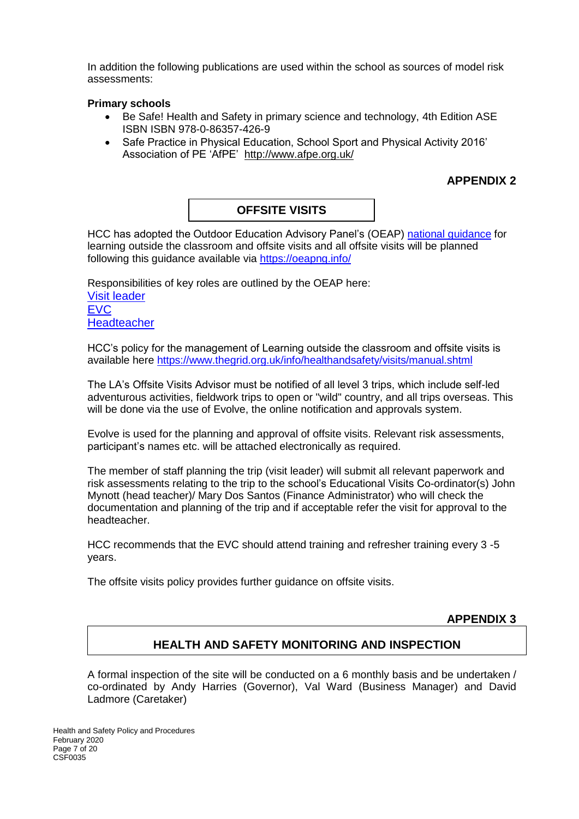In addition the following publications are used within the school as sources of model risk assessments:

#### **Primary schools**

- Be Safe! Health and Safety in primary science and technology, 4th Edition ASE ISBN ISBN 978-0-86357-426-9
- Safe Practice in Physical Education, School Sport and Physical Activity 2016' Association of PE 'AfPE' <http://www.afpe.org.uk/>

# **APPENDIX 2**

# **OFFSITE VISITS**

HCC has adopted the Outdoor Education Advisory Panel's (OEAP) [national guidance](https://oeapng.info/) for learning outside the classroom and offsite visits and all offsite visits will be planned following this guidance available via<https://oeapng.info/>

Responsibilities of key roles are outlined by the OEAP here: [Visit leader](https://oeapng.info/downloads/download-info/3-4k-visit-or-activity-leader) [EVC](https://oeapng.info/downloads/download-info/3-4j-evc-responsibilities) **[Headteacher](https://oeapng.info/downloads/download-info/3-4g-headteacher/)** 

HCC's policy for the management of Learning outside the classroom and offsite visits is available here<https://www.thegrid.org.uk/info/healthandsafety/visits/manual.shtml>

The LA's Offsite Visits Advisor must be notified of all level 3 trips, which include self-led adventurous activities, fieldwork trips to open or "wild" country, and all trips overseas. This will be done via the use of Evolve, the online notification and approvals system.

Evolve is used for the planning and approval of offsite visits. Relevant risk assessments, participant's names etc. will be attached electronically as required.

The member of staff planning the trip (visit leader) will submit all relevant paperwork and risk assessments relating to the trip to the school's Educational Visits Co-ordinator(s) John Mynott (head teacher)/ Mary Dos Santos (Finance Administrator) who will check the documentation and planning of the trip and if acceptable refer the visit for approval to the headteacher.

HCC recommends that the EVC should attend training and refresher training every 3 -5 years.

The offsite visits policy provides further guidance on offsite visits.

### **APPENDIX 3**

### **HEALTH AND SAFETY MONITORING AND INSPECTION**

A formal inspection of the site will be conducted on a 6 monthly basis and be undertaken / co-ordinated by Andy Harries (Governor), Val Ward (Business Manager) and David Ladmore (Caretaker)

Health and Safety Policy and Procedures February 2020 Page 7 of 20 CSF0035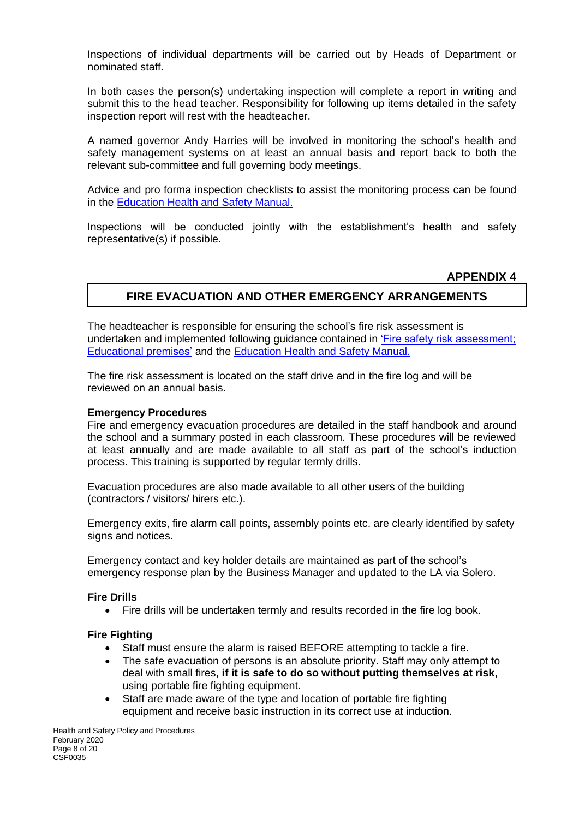Inspections of individual departments will be carried out by Heads of Department or nominated staff.

In both cases the person(s) undertaking inspection will complete a report in writing and submit this to the head teacher. Responsibility for following up items detailed in the safety inspection report will rest with the headteacher.

A named governor Andy Harries will be involved in monitoring the school's health and safety management systems on at least an annual basis and report back to both the relevant sub-committee and full governing body meetings.

Advice and pro forma inspection checklists to assist the monitoring process can be found in the [Education Health and Safety Manual.](http://www.thegrid.org.uk/info/healthandsafety/manual.shtml#A)

Inspections will be conducted jointly with the establishment's health and safety representative(s) if possible.

#### **APPENDIX 4**

# **FIRE EVACUATION AND OTHER EMERGENCY ARRANGEMENTS**

The headteacher is responsible for ensuring the school's fire risk assessment is undertaken and implemented following guidance contained in ['Fire safety risk assessment;](https://www.gov.uk/government/publications/fire-safety-risk-assessment-educational-premises)  [Educational premises'](https://www.gov.uk/government/publications/fire-safety-risk-assessment-educational-premises) and the [Education Health and Safety Manual.](http://www.thegrid.org.uk/info/healthandsafety/fire_safety.shtml) 

The fire risk assessment is located on the staff drive and in the fire log and will be reviewed on an annual basis.

#### **Emergency Procedures**

Fire and emergency evacuation procedures are detailed in the staff handbook and around the school and a summary posted in each classroom. These procedures will be reviewed at least annually and are made available to all staff as part of the school's induction process. This training is supported by regular termly drills.

Evacuation procedures are also made available to all other users of the building (contractors / visitors/ hirers etc.).

Emergency exits, fire alarm call points, assembly points etc. are clearly identified by safety signs and notices.

Emergency contact and key holder details are maintained as part of the school's emergency response plan by the Business Manager and updated to the LA via Solero.

#### **Fire Drills**

Fire drills will be undertaken termly and results recorded in the fire log book.

#### **Fire Fighting**

- Staff must ensure the alarm is raised BEFORE attempting to tackle a fire.
- The safe evacuation of persons is an absolute priority. Staff may only attempt to deal with small fires, **if it is safe to do so without putting themselves at risk**, using portable fire fighting equipment.
- Staff are made aware of the type and location of portable fire fighting equipment and receive basic instruction in its correct use at induction.

Health and Safety Policy and Procedures February 2020 Page 8 of 20 CSF0035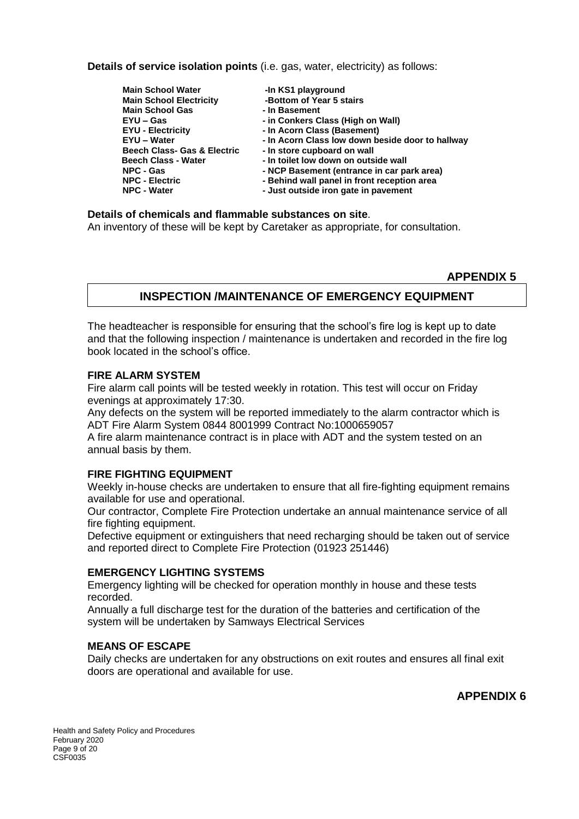**Details of service isolation points** (i.e. gas, water, electricity) as follows:

**Main School Water -In KS1 playground Main School Electricity Main School Gas 10 PM** - In Basement **EYU – Gas - in Conkers Class (High on Wall) EYU - Electricity - In Acorn Class (Basement) EYU – Water - In Acorn Class low down beside door to hallway Beech Class- Gas & Electric - In store cupboard on wall Beech Class - Water - In toilet low down on outside wall**<br>**NPC - Gas - NCP Basement (entrance in car part) NPC - Gas - NCP Basement (entrance in car park area) NPC - Electric - Behind wall panel in front reception area NPC - Water - Just outside iron gate in pavement**

**Details of chemicals and flammable substances on site**. An inventory of these will be kept by Caretaker as appropriate, for consultation.

#### **APPENDIX 5**

### **INSPECTION /MAINTENANCE OF EMERGENCY EQUIPMENT**

The headteacher is responsible for ensuring that the school's fire log is kept up to date and that the following inspection / maintenance is undertaken and recorded in the fire log book located in the school's office.

#### **FIRE ALARM SYSTEM**

Fire alarm call points will be tested weekly in rotation. This test will occur on Friday evenings at approximately 17:30.

Any defects on the system will be reported immediately to the alarm contractor which is ADT Fire Alarm System 0844 8001999 Contract No:1000659057

A fire alarm maintenance contract is in place with ADT and the system tested on an annual basis by them.

#### **FIRE FIGHTING EQUIPMENT**

Weekly in-house checks are undertaken to ensure that all fire-fighting equipment remains available for use and operational.

Our contractor, Complete Fire Protection undertake an annual maintenance service of all fire fighting equipment.

Defective equipment or extinguishers that need recharging should be taken out of service and reported direct to Complete Fire Protection (01923 251446)

### **EMERGENCY LIGHTING SYSTEMS**

Emergency lighting will be checked for operation monthly in house and these tests recorded.

Annually a full discharge test for the duration of the batteries and certification of the system will be undertaken by Samways Electrical Services

#### **MEANS OF ESCAPE**

Daily checks are undertaken for any obstructions on exit routes and ensures all final exit doors are operational and available for use.

### **APPENDIX 6**

Health and Safety Policy and Procedures February 2020 Page 9 of 20 CSF0035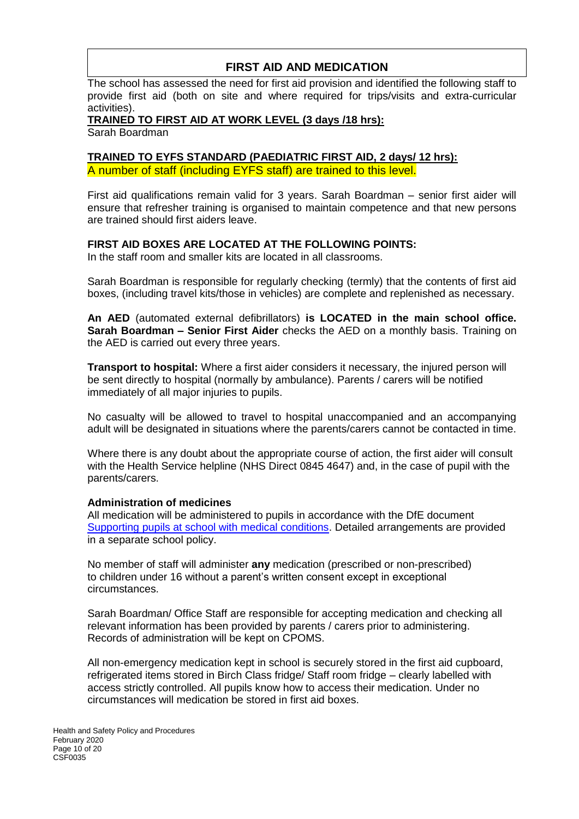# **FIRST AID AND MEDICATION**

The school has assessed the need for first aid provision and identified the following staff to provide first aid (both on site and where required for trips/visits and extra-curricular activities).

#### **TRAINED TO FIRST AID AT WORK LEVEL (3 days /18 hrs):**

Sarah Boardman

#### **TRAINED TO EYFS STANDARD (PAEDIATRIC FIRST AID, 2 days/ 12 hrs):** A number of staff (including EYFS staff) are trained to this level.

First aid qualifications remain valid for 3 years. Sarah Boardman – senior first aider will ensure that refresher training is organised to maintain competence and that new persons are trained should first aiders leave.

#### **FIRST AID BOXES ARE LOCATED AT THE FOLLOWING POINTS:**

In the staff room and smaller kits are located in all classrooms.

Sarah Boardman is responsible for regularly checking (termly) that the contents of first aid boxes, (including travel kits/those in vehicles) are complete and replenished as necessary.

**An AED** (automated external defibrillators) **is LOCATED in the main school office. Sarah Boardman – Senior First Aider** checks the AED on a monthly basis. Training on the AED is carried out every three years.

**Transport to hospital:** Where a first aider considers it necessary, the injured person will be sent directly to hospital (normally by ambulance). Parents / carers will be notified immediately of all major injuries to pupils.

No casualty will be allowed to travel to hospital unaccompanied and an accompanying adult will be designated in situations where the parents/carers cannot be contacted in time.

Where there is any doubt about the appropriate course of action, the first aider will consult with the Health Service helpline (NHS Direct 0845 4647) and, in the case of pupil with the parents/carers.

#### **Administration of medicines**

All medication will be administered to pupils in accordance with the DfE document [Supporting pupils at school with medical conditions.](https://www.gov.uk/government/publications/supporting-pupils-at-school-with-medical-conditions--3) Detailed arrangements are provided in a separate school policy.

No member of staff will administer **any** medication (prescribed or non-prescribed) to children under 16 without a parent's written consent except in exceptional circumstances.

Sarah Boardman/ Office Staff are responsible for accepting medication and checking all relevant information has been provided by parents / carers prior to administering. Records of administration will be kept on CPOMS.

All non-emergency medication kept in school is securely stored in the first aid cupboard, refrigerated items stored in Birch Class fridge/ Staff room fridge – clearly labelled with access strictly controlled. All pupils know how to access their medication. Under no circumstances will medication be stored in first aid boxes.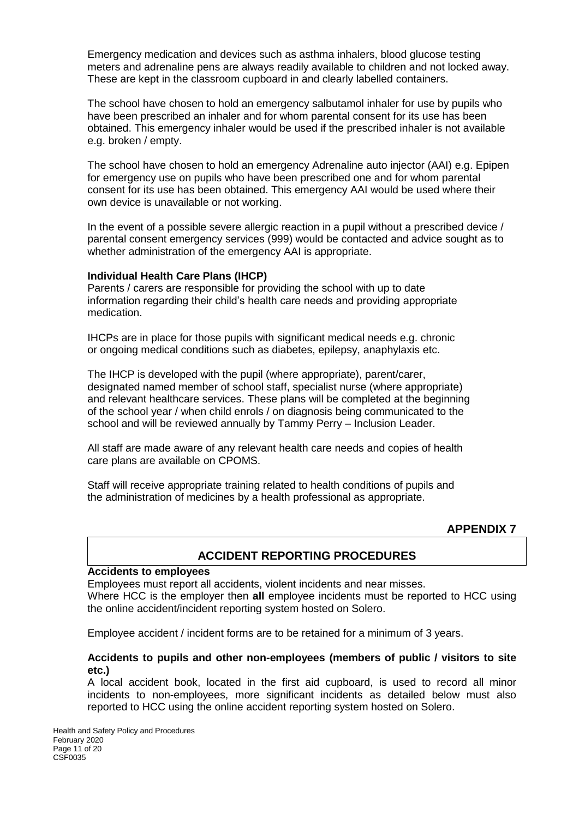Emergency medication and devices such as asthma inhalers, blood glucose testing meters and adrenaline pens are always readily available to children and not locked away. These are kept in the classroom cupboard in and clearly labelled containers.

The school have chosen to hold an emergency salbutamol inhaler for use by pupils who have been prescribed an inhaler and for whom parental consent for its use has been obtained. This emergency inhaler would be used if the prescribed inhaler is not available e.g. broken / empty.

The school have chosen to hold an emergency Adrenaline auto injector (AAI) e.g. Epipen for emergency use on pupils who have been prescribed one and for whom parental consent for its use has been obtained. This emergency AAI would be used where their own device is unavailable or not working.

In the event of a possible severe allergic reaction in a pupil without a prescribed device / parental consent emergency services (999) would be contacted and advice sought as to whether administration of the emergency AAI is appropriate.

#### **Individual Health Care Plans (IHCP)**

Parents / carers are responsible for providing the school with up to date information regarding their child's health care needs and providing appropriate medication.

IHCPs are in place for those pupils with significant medical needs e.g. chronic or ongoing medical conditions such as diabetes, epilepsy, anaphylaxis etc.

The IHCP is developed with the pupil (where appropriate), parent/carer, designated named member of school staff, specialist nurse (where appropriate) and relevant healthcare services. These plans will be completed at the beginning of the school year / when child enrols / on diagnosis being communicated to the school and will be reviewed annually by Tammy Perry – Inclusion Leader.

All staff are made aware of any relevant health care needs and copies of health care plans are available on CPOMS.

Staff will receive appropriate training related to health conditions of pupils and the administration of medicines by a health professional as appropriate.

#### **APPENDIX 7**

### **ACCIDENT REPORTING PROCEDURES**

#### **Accidents to employees**

Employees must report all accidents, violent incidents and near misses. Where HCC is the employer then **all** employee incidents must be reported to HCC using the online accident/incident reporting system hosted on Solero.

Employee accident / incident forms are to be retained for a minimum of 3 years.

#### **Accidents to pupils and other non-employees (members of public / visitors to site etc.)**

A local accident book, located in the first aid cupboard, is used to record all minor incidents to non-employees, more significant incidents as detailed below must also reported to HCC using the online accident reporting system hosted on Solero.

Health and Safety Policy and Procedures February 2020 Page 11 of 20 CSF0035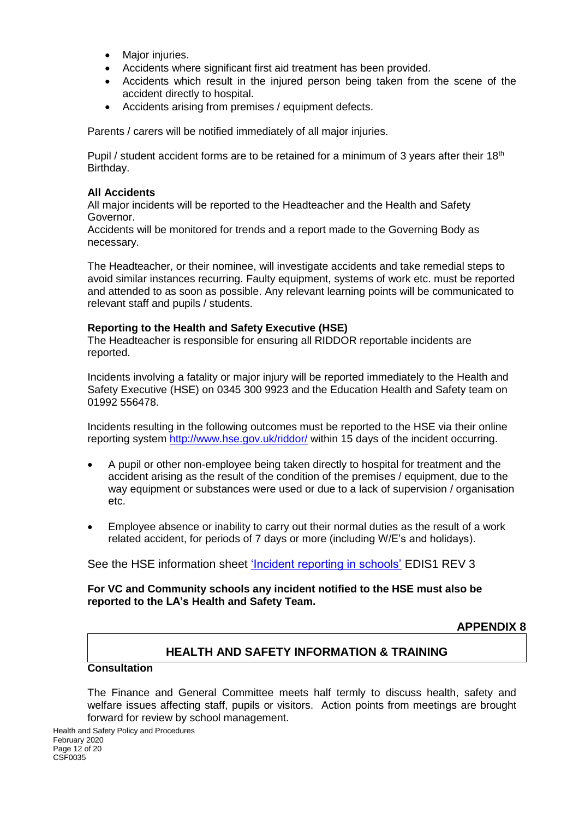- Major injuries.
- Accidents where significant first aid treatment has been provided.
- Accidents which result in the injured person being taken from the scene of the accident directly to hospital.
- Accidents arising from premises / equipment defects.

Parents / carers will be notified immediately of all major injuries.

Pupil / student accident forms are to be retained for a minimum of 3 years after their  $18<sup>th</sup>$ Birthday.

#### **All Accidents**

All major incidents will be reported to the Headteacher and the Health and Safety Governor.

Accidents will be monitored for trends and a report made to the Governing Body as necessary.

The Headteacher, or their nominee, will investigate accidents and take remedial steps to avoid similar instances recurring. Faulty equipment, systems of work etc. must be reported and attended to as soon as possible. Any relevant learning points will be communicated to relevant staff and pupils / students.

#### **Reporting to the Health and Safety Executive (HSE)**

The Headteacher is responsible for ensuring all RIDDOR reportable incidents are reported.

Incidents involving a fatality or major injury will be reported immediately to the Health and Safety Executive (HSE) on 0345 300 9923 and the Education Health and Safety team on 01992 556478.

Incidents resulting in the following outcomes must be reported to the HSE via their online reporting system <http://www.hse.gov.uk/riddor/> within 15 days of the incident occurring.

- A pupil or other non-employee being taken directly to hospital for treatment and the accident arising as the result of the condition of the premises / equipment, due to the way equipment or substances were used or due to a lack of supervision / organisation etc.
- Employee absence or inability to carry out their normal duties as the result of a work related accident, for periods of 7 days or more (including W/E's and holidays).

See the HSE information sheet ['Incident reporting in schools'](http://www.hse.gov.uk/pubns/edis1.pdf) EDIS1 REV 3

#### **For VC and Community schools any incident notified to the HSE must also be reported to the LA's Health and Safety Team.**

**APPENDIX 8**

### **HEALTH AND SAFETY INFORMATION & TRAINING**

### **Consultation**

The Finance and General Committee meets half termly to discuss health, safety and welfare issues affecting staff, pupils or visitors. Action points from meetings are brought forward for review by school management.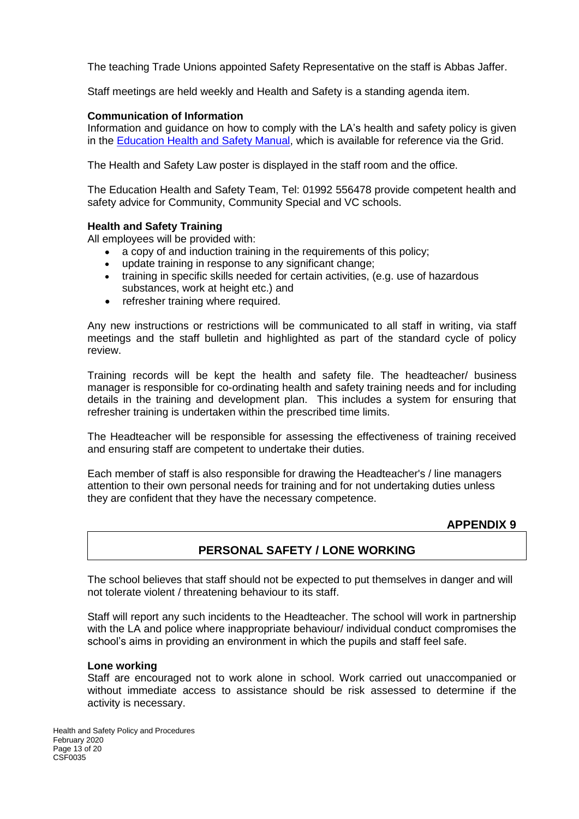The teaching Trade Unions appointed Safety Representative on the staff is Abbas Jaffer.

Staff meetings are held weekly and Health and Safety is a standing agenda item.

#### **Communication of Information**

Information and guidance on how to comply with the LA's health and safety policy is given in the [Education Health and Safety Manual,](http://www.thegrid.org.uk/info/healthandsafety/manual.shtml#p) which is available for reference via the Grid.

The Health and Safety Law poster is displayed in the staff room and the office.

The Education Health and Safety Team, Tel: 01992 556478 provide competent health and safety advice for Community, Community Special and VC schools.

#### **Health and Safety Training**

All employees will be provided with:

- a copy of and induction training in the requirements of this policy;
- update training in response to any significant change;
- training in specific skills needed for certain activities, (e.g. use of hazardous substances, work at height etc.) and
- refresher training where required.

Any new instructions or restrictions will be communicated to all staff in writing, via staff meetings and the staff bulletin and highlighted as part of the standard cycle of policy review.

Training records will be kept the health and safety file. The headteacher/ business manager is responsible for co-ordinating health and safety training needs and for including details in the training and development plan. This includes a system for ensuring that refresher training is undertaken within the prescribed time limits.

The Headteacher will be responsible for assessing the effectiveness of training received and ensuring staff are competent to undertake their duties.

Each member of staff is also responsible for drawing the Headteacher's / line managers attention to their own personal needs for training and for not undertaking duties unless they are confident that they have the necessary competence.

### **APPENDIX 9**

### **PERSONAL SAFETY / LONE WORKING**

The school believes that staff should not be expected to put themselves in danger and will not tolerate violent / threatening behaviour to its staff.

Staff will report any such incidents to the Headteacher. The school will work in partnership with the LA and police where inappropriate behaviour/ individual conduct compromises the school's aims in providing an environment in which the pupils and staff feel safe.

#### **Lone working**

Staff are encouraged not to work alone in school. Work carried out unaccompanied or without immediate access to assistance should be risk assessed to determine if the activity is necessary.

Health and Safety Policy and Procedures February 2020 Page 13 of 20 CSF0035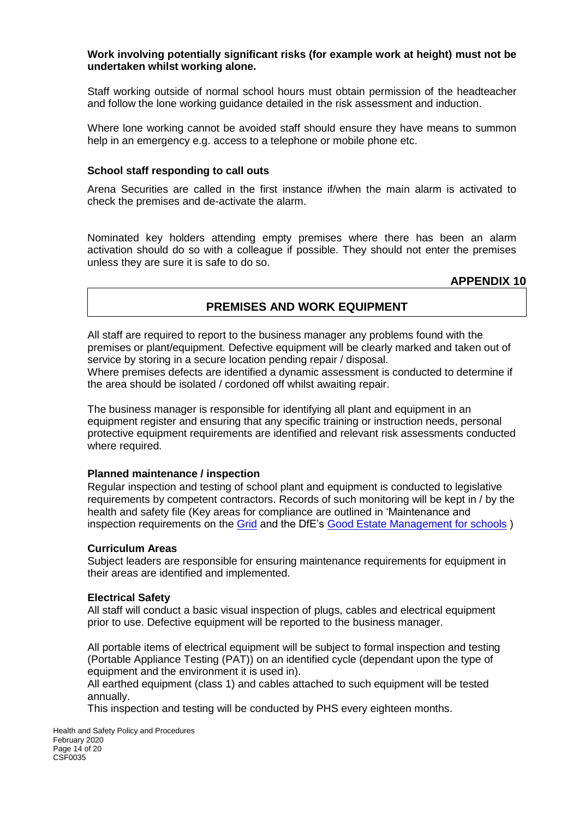#### **Work involving potentially significant risks (for example work at height) must not be undertaken whilst working alone.**

Staff working outside of normal school hours must obtain permission of the headteacher and follow the lone working guidance detailed in the risk assessment and induction.

Where lone working cannot be avoided staff should ensure they have means to summon help in an emergency e.g. access to a telephone or mobile phone etc.

#### **School staff responding to call outs**

Arena Securities are called in the first instance if/when the main alarm is activated to check the premises and de-activate the alarm.

Nominated key holders attending empty premises where there has been an alarm activation should do so with a colleague if possible. They should not enter the premises unless they are sure it is safe to do so.

**APPENDIX 10**

### **PREMISES AND WORK EQUIPMENT**

All staff are required to report to the business manager any problems found with the premises or plant/equipment. Defective equipment will be clearly marked and taken out of service by storing in a secure location pending repair / disposal. Where premises defects are identified a dynamic assessment is conducted to determine if

the area should be isolated / cordoned off whilst awaiting repair.

The business manager is responsible for identifying all plant and equipment in an equipment register and ensuring that any specific training or instruction needs, personal protective equipment requirements are identified and relevant risk assessments conducted where required.

#### **Planned maintenance / inspection**

Regular inspection and testing of school plant and equipment is conducted to legislative requirements by competent contractors. Records of such monitoring will be kept in / by the health and safety file (Key areas for compliance are outlined in 'Maintenance and inspection requirements on the [Grid](http://www.thegrid.org.uk/info/healthandsafety/manual.shtml#m) and the DfE's [Good Estate Management for schools](https://www.gov.uk/guidance/good-estate-management-for-schools/health-and-safety) )

#### **Curriculum Areas**

Subject leaders are responsible for ensuring maintenance requirements for equipment in their areas are identified and implemented.

#### **Electrical Safety**

All staff will conduct a basic visual inspection of plugs, cables and electrical equipment prior to use. Defective equipment will be reported to the business manager.

All portable items of electrical equipment will be subject to formal inspection and testing (Portable Appliance Testing (PAT)) on an identified cycle (dependant upon the type of equipment and the environment it is used in).

All earthed equipment (class 1) and cables attached to such equipment will be tested annually.

This inspection and testing will be conducted by PHS every eighteen months.

Health and Safety Policy and Procedures February 2020 Page 14 of 20 CSF0035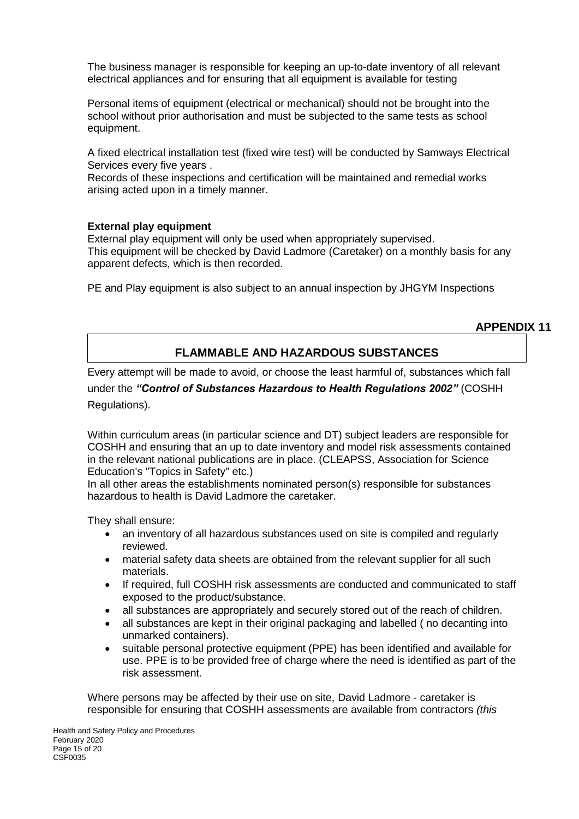The business manager is responsible for keeping an up-to-date inventory of all relevant electrical appliances and for ensuring that all equipment is available for testing

Personal items of equipment (electrical or mechanical) should not be brought into the school without prior authorisation and must be subjected to the same tests as school equipment.

A fixed electrical installation test (fixed wire test) will be conducted by Samways Electrical Services every five years .

Records of these inspections and certification will be maintained and remedial works arising acted upon in a timely manner.

#### **External play equipment**

External play equipment will only be used when appropriately supervised. This equipment will be checked by David Ladmore (Caretaker) on a monthly basis for any apparent defects, which is then recorded.

PE and Play equipment is also subject to an annual inspection by JHGYM Inspections

### **APPENDIX 11**

# **FLAMMABLE AND HAZARDOUS SUBSTANCES**

Every attempt will be made to avoid, or choose the least harmful of, substances which fall

under the *"Control of Substances Hazardous to Health Regulations 2002"* (COSHH Regulations).

Within curriculum areas (in particular science and DT) subject leaders are responsible for COSHH and ensuring that an up to date inventory and model risk assessments contained in the relevant national publications are in place. (CLEAPSS, Association for Science Education's "Topics in Safety" etc.)

In all other areas the establishments nominated person(s) responsible for substances hazardous to health is David Ladmore the caretaker.

They shall ensure:

- an inventory of all hazardous substances used on site is compiled and regularly reviewed.
- material safety data sheets are obtained from the relevant supplier for all such materials.
- If required, full COSHH risk assessments are conducted and communicated to staff exposed to the product/substance.
- all substances are appropriately and securely stored out of the reach of children.
- all substances are kept in their original packaging and labelled ( no decanting into unmarked containers).
- suitable personal protective equipment (PPE) has been identified and available for use. PPE is to be provided free of charge where the need is identified as part of the risk assessment.

Where persons may be affected by their use on site, David Ladmore - caretaker is responsible for ensuring that COSHH assessments are available from contractors *(this*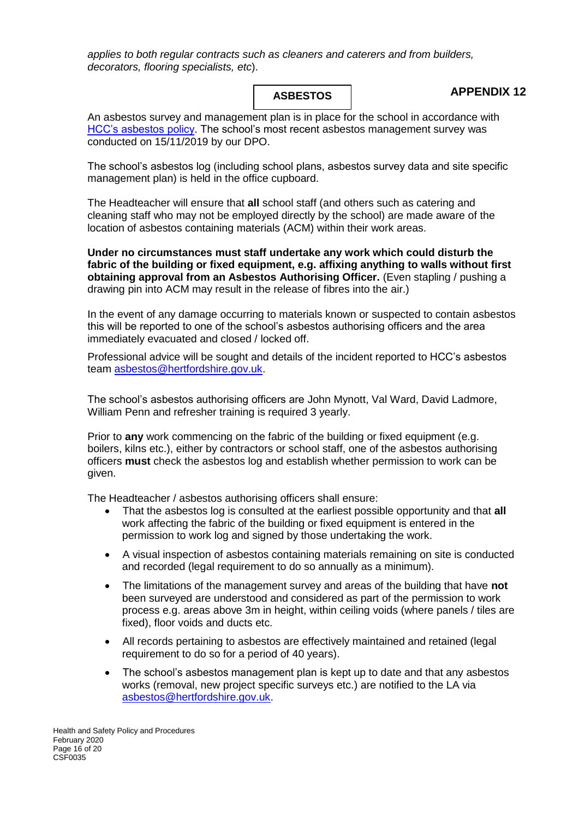*applies to both regular contracts such as cleaners and caterers and from builders, decorators, flooring specialists, etc*).

#### **ASBESTOS**

### **APPENDIX 12**

An asbestos survey and management plan is in place for the school in accordance with [HCC's asbestos policy.](http://www.thegrid.org.uk/info/healthandsafety/manual.shtml#A) The school's most recent asbestos management survey was conducted on 15/11/2019 by our DPO.

The school's asbestos log (including school plans, asbestos survey data and site specific management plan) is held in the office cupboard.

The Headteacher will ensure that **all** school staff (and others such as catering and cleaning staff who may not be employed directly by the school) are made aware of the location of asbestos containing materials (ACM) within their work areas.

**Under no circumstances must staff undertake any work which could disturb the fabric of the building or fixed equipment, e.g. affixing anything to walls without first obtaining approval from an Asbestos Authorising Officer.** (Even stapling / pushing a drawing pin into ACM may result in the release of fibres into the air.)

In the event of any damage occurring to materials known or suspected to contain asbestos this will be reported to one of the school's asbestos authorising officers and the area immediately evacuated and closed / locked off.

Professional advice will be sought and details of the incident reported to HCC's asbestos team [asbestos@hertfordshire.gov.uk.](mailto:asbestos@hertfordshire.gov.uk)

The school's asbestos authorising officers are John Mynott, Val Ward, David Ladmore, William Penn and refresher training is required 3 yearly.

Prior to **any** work commencing on the fabric of the building or fixed equipment (e.g. boilers, kilns etc.), either by contractors or school staff, one of the asbestos authorising officers **must** check the asbestos log and establish whether permission to work can be given.

The Headteacher / asbestos authorising officers shall ensure:

- That the asbestos log is consulted at the earliest possible opportunity and that **all** work affecting the fabric of the building or fixed equipment is entered in the permission to work log and signed by those undertaking the work.
- A visual inspection of asbestos containing materials remaining on site is conducted and recorded (legal requirement to do so annually as a minimum).
- The limitations of the management survey and areas of the building that have **not** been surveyed are understood and considered as part of the permission to work process e.g. areas above 3m in height, within ceiling voids (where panels / tiles are fixed), floor voids and ducts etc.
- All records pertaining to asbestos are effectively maintained and retained (legal requirement to do so for a period of 40 years).
- The school's asbestos management plan is kept up to date and that any asbestos works (removal, new project specific surveys etc.) are notified to the LA via [asbestos@hertfordshire.gov.uk.](mailto:asbestos@hertfordshire.gov.uk)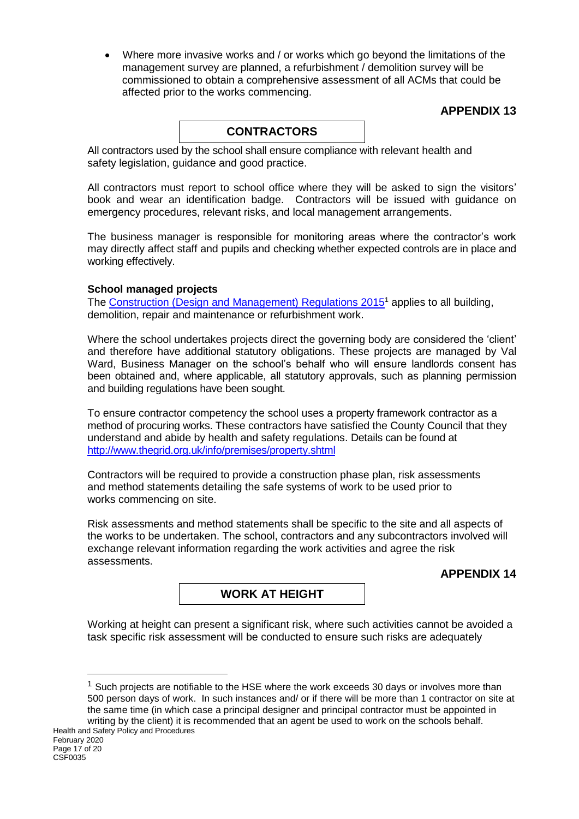Where more invasive works and / or works which go beyond the limitations of the management survey are planned, a refurbishment / demolition survey will be commissioned to obtain a comprehensive assessment of all ACMs that could be affected prior to the works commencing.

### **APPENDIX 13**

### **CONTRACTORS**

All contractors used by the school shall ensure compliance with relevant health and safety legislation, guidance and good practice.

All contractors must report to school office where they will be asked to sign the visitors' book and wear an identification badge. Contractors will be issued with guidance on emergency procedures, relevant risks, and local management arrangements.

The business manager is responsible for monitoring areas where the contractor's work may directly affect staff and pupils and checking whether expected controls are in place and working effectively.

#### **School managed projects**

The [Construction \(Design and Management\) Regulations 2015](http://www.hse.gov.uk/construction/cdm/2015/index.htm?ebul=gd-cons/jun15&cr=1)<sup>1</sup> applies to all building, demolition, repair and maintenance or refurbishment work.

Where the school undertakes projects direct the governing body are considered the 'client' and therefore have additional statutory obligations. These projects are managed by Val Ward, Business Manager on the school's behalf who will ensure landlords consent has been obtained and, where applicable, all statutory approvals, such as planning permission and building regulations have been sought.

To ensure contractor competency the school uses a property framework contractor as a method of procuring works. These contractors have satisfied the County Council that they understand and abide by health and safety regulations. Details can be found at <http://www.thegrid.org.uk/info/premises/property.shtml>

Contractors will be required to provide a construction phase plan, risk assessments and method statements detailing the safe systems of work to be used prior to works commencing on site.

Risk assessments and method statements shall be specific to the site and all aspects of the works to be undertaken. The school, contractors and any subcontractors involved will exchange relevant information regarding the work activities and agree the risk assessments.

#### **APPENDIX 14**

### **WORK AT HEIGHT**

Working at height can present a significant risk, where such activities cannot be avoided a task specific risk assessment will be conducted to ensure such risks are adequately

 $1$  Such projects are notifiable to the HSE where the work exceeds 30 days or involves more than 500 person days of work. In such instances and/ or if there will be more than 1 contractor on site at the same time (in which case a principal designer and principal contractor must be appointed in writing by the client) it is recommended that an agent be used to work on the schools behalf.

1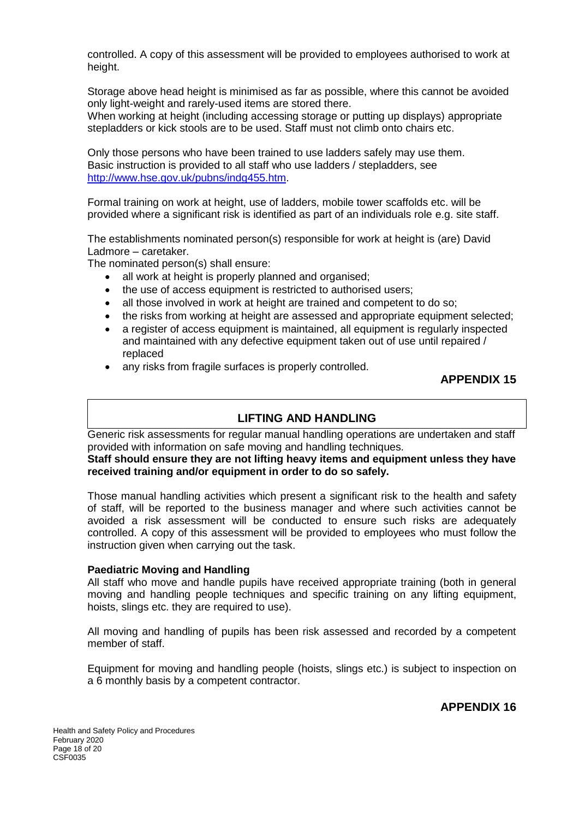controlled. A copy of this assessment will be provided to employees authorised to work at height.

Storage above head height is minimised as far as possible, where this cannot be avoided only light-weight and rarely-used items are stored there.

When working at height (including accessing storage or putting up displays) appropriate stepladders or kick stools are to be used. Staff must not climb onto chairs etc.

Only those persons who have been trained to use ladders safely may use them. Basic instruction is provided to all staff who use ladders / stepladders, see [http://www.hse.gov.uk/pubns/indg455.htm.](http://www.hse.gov.uk/pubns/indg455.htm)

Formal training on work at height, use of ladders, mobile tower scaffolds etc. will be provided where a significant risk is identified as part of an individuals role e.g. site staff.

The establishments nominated person(s) responsible for work at height is (are) David Ladmore – caretaker.

The nominated person(s) shall ensure:

- all work at height is properly planned and organised;
- the use of access equipment is restricted to authorised users;
- all those involved in work at height are trained and competent to do so:
- the risks from working at height are assessed and appropriate equipment selected;
- a register of access equipment is maintained, all equipment is regularly inspected and maintained with any defective equipment taken out of use until repaired / replaced
- any risks from fragile surfaces is properly controlled.

### **APPENDIX 15**

#### **LIFTING AND HANDLING**

Generic risk assessments for regular manual handling operations are undertaken and staff provided with information on safe moving and handling techniques.

**Staff should ensure they are not lifting heavy items and equipment unless they have received training and/or equipment in order to do so safely.**

Those manual handling activities which present a significant risk to the health and safety of staff, will be reported to the business manager and where such activities cannot be avoided a risk assessment will be conducted to ensure such risks are adequately controlled. A copy of this assessment will be provided to employees who must follow the instruction given when carrying out the task.

#### **Paediatric Moving and Handling**

All staff who move and handle pupils have received appropriate training (both in general moving and handling people techniques and specific training on any lifting equipment, hoists, slings etc. they are required to use).

All moving and handling of pupils has been risk assessed and recorded by a competent member of staff.

Equipment for moving and handling people (hoists, slings etc.) is subject to inspection on a 6 monthly basis by a competent contractor.

**APPENDIX 16**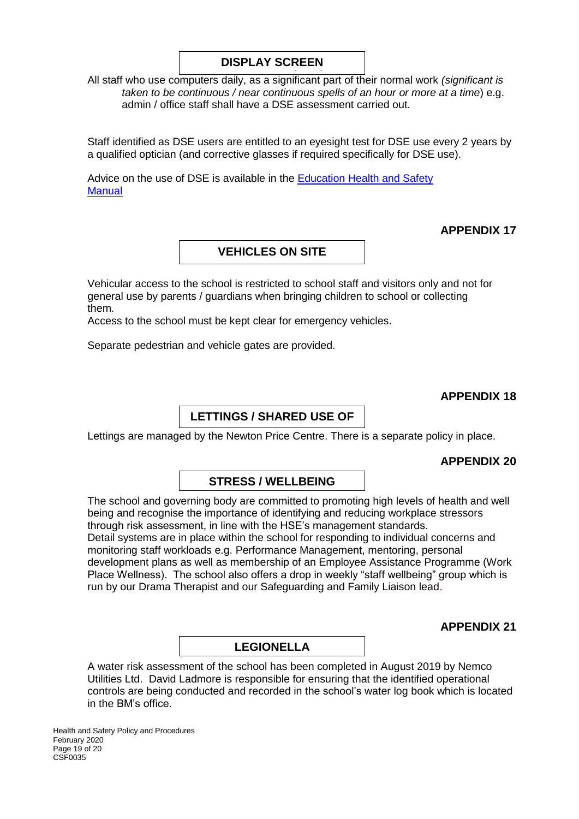### **DISPLAY SCREEN**

All staff who use computers daily, as a significant part of their normal work *(significant is*  **EQUIPMENT (DSE)** *taken to be continuous / near continuous spells of an hour or more at a time*) e.g. admin / office staff shall have a DSE assessment carried out.

Staff identified as DSE users are entitled to an eyesight test for DSE use every 2 years by a qualified optician (and corrective glasses if required specifically for DSE use).

Advice on the use of DSE is available in the [Education Health and Safety](http://www.thegrid.org.uk/info/healthandsafety/documents_manual/display_screen_equipment.doc) **Manual** 

### **APPENDIX 17**

### **VEHICLES ON SITE**

Vehicular access to the school is restricted to school staff and visitors only and not for general use by parents / guardians when bringing children to school or collecting them.

Access to the school must be kept clear for emergency vehicles.

Separate pedestrian and vehicle gates are provided.

### **APPENDIX 18**

### **LETTINGS / SHARED USE OF**

Lettings are managed by the Newton Price Centre. There is a separate policy in place.

#### **APPENDIX 20**

### **STRESS / WELLBEING**

The school and governing body are committed to promoting high levels of health and well being and recognise the importance of identifying and reducing workplace stressors through risk assessment, in line with the HSE's management standards. Detail systems are in place within the school for responding to individual concerns and monitoring staff workloads e.g. Performance Management, mentoring, personal development plans as well as membership of an Employee Assistance Programme (Work Place Wellness). The school also offers a drop in weekly "staff wellbeing" group which is run by our Drama Therapist and our Safeguarding and Family Liaison lead.

**APPENDIX 21**

### **LEGIONELLA**

A water risk assessment of the school has been completed in August 2019 by Nemco Utilities Ltd. David Ladmore is responsible for ensuring that the identified operational controls are being conducted and recorded in the school's water log book which is located in the BM's office.

Health and Safety Policy and Procedures February 2020 Page 19 of 20 CSF0035